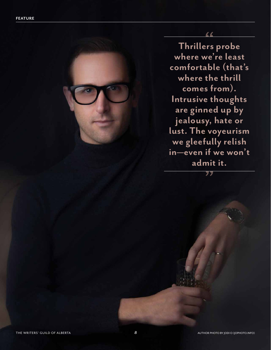**Thrillers probe where we're least comfortable (that's where the thrill comes from). Intrusive thoughts are ginned up by jealousy, hate or lust. The voyeurism we gleefully relish in—even if we won't admit it.**

77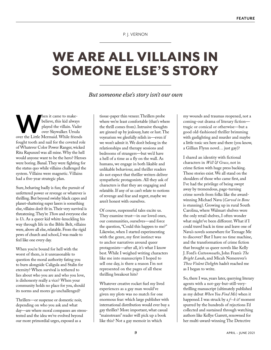## P. J. VERNON

## WE ARE ALL VILLAINS IN SOMEONE ELSE'S STORY

## *But someone else's story isn't our own*

**WALK SERVIET A CONSERVING THE METAL STARK SERVING STARK ON THE LITTLE METAL SOFT THE LITTLE METAL SOFT A LITTLE STARK SERVIET SHOW SERVIET STARK SERVIET SHOW SERVIET SHOW SERVIET SHOW SERVIET SHOW SERVIET SHOW SERVIET SHO** believe, this kid always played the villain. Vader over Skywalker. Ursula fought tooth and nail for the coveted role of Whatever Color Power Ranger, wicked Rita Rapunzel was all mine. Why the hell would anyone want to be the hero? Heroes were boring. Banal. They were fighting for the status quo while villains challenged the system. Villains were magnetic. Villains had a five-year strategic plan.

Sure, behaving badly is fun; the pursuit of unfettered power or revenge or whatever is thrilling. But beyond swishy black capes and planet-shattering super lasers is something else, villains don't fit in. Their very survival is threatening. They're *Them* and everyone else is *Us*. As a queer kid white-knuckling his way through life in the Bible Belt, villains were, above all else, relatable. From the rigid pews of church and school, I was made to feel like one every day.

When you're bound for hell with the worst of them, is it unreasonable to question the moral authority fating you to burn alongside Caligula and Stalin for eternity? When survival is tethered to lies about who you are and who you love, is dishonesty really a vice? When your community holds no place for you, should its norms and mores go unchallenged?

Thrillers—or suspense or domestic noir, depending on who you ask and what day—are where moral compasses are stresstested and the idea we've evolved beyond our more primordial urges, exposed as a

tissue-paper thin veneer. Thrillers probe where we're least comfortable (that's where the thrill comes from). Intrusive thoughts are ginned up by jealousy, hate or lust. The voyeurism we gleefully relish in—even if we won't admit it. We don't belong in the relationships and therapy sessions and bedrooms of strangers—but we'd have a hell of a time as a fly on the wall. As humans, we engage in both likable and unlikable behaviour, and thriller readers do not expect that thriller writers deliver sympathetic protagonists. All they ask of characters is that they are engaging and relatable. If any of us can't relate to notions of revenge and fear and regret, maybe we aren't honest with ourselves.

Of course, suspenseful tales excite us. They examine trust—in our loved ones, our communities, ourselves—and force the question, "Could this happen to me?" Likewise, when I started experimenting with the genre, my first instinct was to anchor narratives around queer protagonists—after all, it's what I know best. While I weighed writing characters like me into manuscripts I hoped to sell one day, is there a reason I'm not represented on the pages of all these thrilling breakout hits?

Whatever creative rocket fuel my lived experiences as a gay man would've given my plots was no match for one enormous fear: which large publisher with international distribution would ever buy a gay thriller? More important, what casual "mainstream" reader will pick up a book like this? Not a gay memoir in which

my wounds and traumas reopened, not a coming-out drama of literary fiction tragic or comical or otherwise—but a good old-fashioned thriller brimming with gaslighting and murder and maybe a little toxic sex here and there (you know, a Gillian Flynn novel… just gay)?

I shared an identity with fictional characters in *Will & Grace*, not in crime fiction with huge press backing. These stories exist. We all stand on the shoulders of those who came first, and I've had the privilege of being swept away by tremendous, page-turning crime novels from folks like the awardwinning Michael Nava (*Carved in Bone* is stunning). Growing up in rural South Carolina, where Walmart shelves were the only retail shelves, I often wonder what might've been different. What if I could travel back in time and leave one of Nava's novels somewhere for Teenage Me to discover? But I have no time machine, and the transformation of crime fiction that brought us queer novels like Kelly J. Ford's *Cottonmouths*, John Fram's *The Bright Land*s, and Micah Nemerever's *These Violent Delight*s hadn't reached me as I began to write.

So, there I was, years later, querying literary agents with a not-gay-but-still-verythrilling manuscript (ultimately published as my debut *When You Find Me*) when it happened. I was struck by a *f--k it!* moment spurred by the hundreds of rejections I'd collected and sustained through watching authors like Kellye Garrett, renowned for her multi-award-winning The Detective